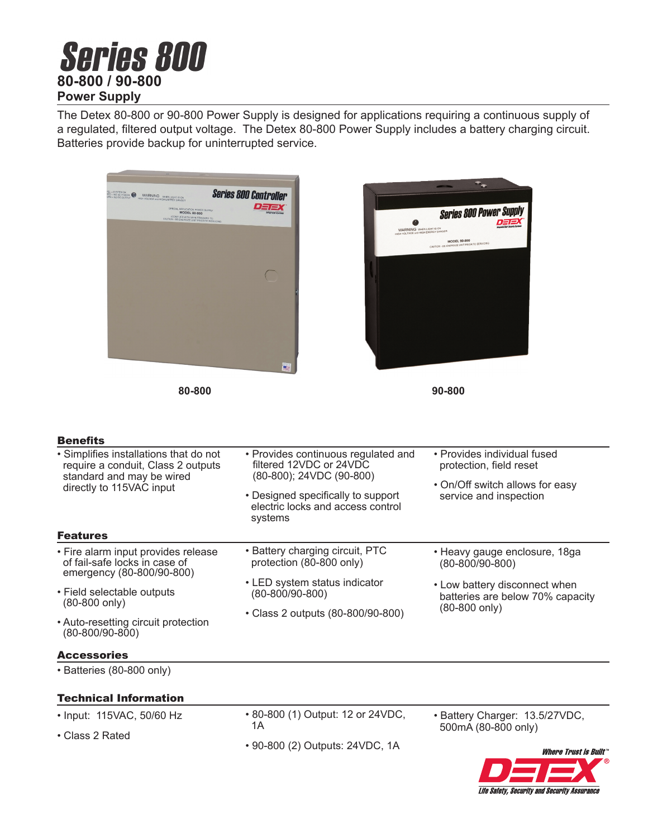# **Series 800 80-800 / 90-800 Power Supply**

The Detex 80-800 or 90-800 Power Supply is designed for applications requiring a continuous supply of a regulated, filtered output voltage. The Detex 80-800 Power Supply includes a battery charging circuit. Batteries provide backup for uninterrupted service.



**80-800 90-800**



#### **Renefite**

| --------                                                                                                                              |                                                                                                                                                                                  |                                                                                                                     |
|---------------------------------------------------------------------------------------------------------------------------------------|----------------------------------------------------------------------------------------------------------------------------------------------------------------------------------|---------------------------------------------------------------------------------------------------------------------|
| • Simplifies installations that do not<br>require a conduit, Class 2 outputs<br>standard and may be wired<br>directly to 115VAC input | • Provides continuous regulated and<br>filtered 12VDC or 24VDC<br>(80-800); 24VDC (90-800)<br>• Designed specifically to support<br>electric locks and access control<br>systems | • Provides individual fused<br>protection, field reset<br>• On/Off switch allows for easy<br>service and inspection |
| <b>Features</b>                                                                                                                       |                                                                                                                                                                                  |                                                                                                                     |
| • Fire alarm input provides release<br>of fail-safe locks in case of<br>emergency (80-800/90-800)                                     | • Battery charging circuit, PTC<br>protection (80-800 only)                                                                                                                      | • Heavy gauge enclosure, 18ga<br>$(80 - 800/90 - 800)$                                                              |
| • Field selectable outputs<br>$(80-800 \text{ only})$                                                                                 | • LED system status indicator<br>(80-800/90-800)<br>• Class 2 outputs (80-800/90-800)                                                                                            | • Low battery disconnect when<br>batteries are below 70% capacity<br>$(80-800 \text{ only})$                        |
| • Auto-resetting circuit protection<br>$(80 - 800/90 - 800)$                                                                          |                                                                                                                                                                                  |                                                                                                                     |

#### Accessories

• Batteries (80-800 only)

# Technical Information

- Input: 115VAC, 50/60 Hz
- Class 2 Rated

• 80-800 (1) Output: 12 or 24VDC, 1A

• 90-800 (2) Outputs: 24VDC, 1A

• Battery Charger: 13.5/27VDC, 500mA (80-800 only)

> **Where Trust is Built Life Safety, Security and Security Assurance**